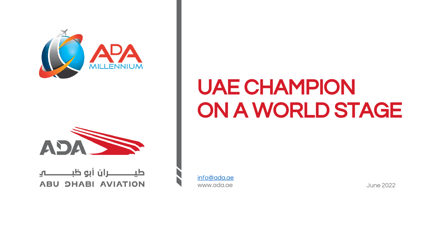



### **ABU DHABI AVIATION**

[info@ada.ae](mailto:info@ada.ae) www.ada.ae June 2022

# UAE CHAMPION ON A WORLD STAGE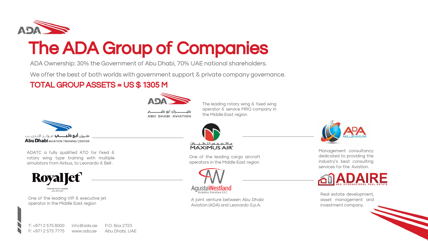

# The ADA Group of Companies

ADA Ownership: 30% the Government of Abu Dhabi, 70% UAE national shareholders.

We offer the best of both worlds with government support & private company governance.

### TOTAL GROUP ASSETS ≈ US \$ 1305 M



ـــران أبو ظبـــــ **ABU DHABI AVIATION**  The leading rotary wing & fixed wing operator & service MRO company in the Middle East region



ADATC a fully qualified ATO for fixed & rotary wing type training with multiple simulators from Airbus, to Leonardo & Bell .



One of the leading VIP & executive jet operator in the Middle East region



One of the leading cargo aircraft operators in the Middle East region



A joint venture between Abu Dhabi Aviation (ADA) and Leonardo S.p.A.



Management consultancy dedicated to providing the industry's best consulting services for the Aviation.



Real estate development, asset management and investment company.

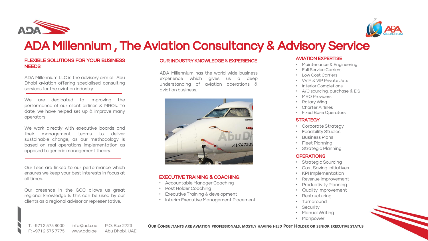



## ADA Millennium , The Aviation Consultancy & Advisory Service

#### FLEXIBLE SOLUTIONS FOR YOUR BUSINESS NEEDS

ADA Millennium LLC is the advisory arm of Abu Dhabi aviation offering specialised consulting services for the aviation industry.

We are dedicated to improving the performance of our client airlines & MROs. To date, we have helped set up & improve many operators.

We work directly with executive boards and their management teams to deliver sustainable change, as our methodology is based on real operations implementation as opposed to generic management theory.

Our fees are linked to our performance which ensures we keep your best interests in focus at all times.

Our presence in the GCC allows us great regional knowledge & this can be used by our clients as a regional advisor or representative.

#### OUR INDUSTRY KNOWLEDGE & EXPERIENCE

ADA Millennium has the world wide business experience which gives us a deep understanding of aviation operations & aviation business.



#### EXECUTIVE TRAINING & COACHING

- Accountable Manager Coaching
- Post Holder Coaching
- **Executive Training & development**
- Interim Executive Management Placement

#### AVIATION EXPERTISE

- Maintenance & Engineering
- Full Service Carriers
- Low Cost Carriers
- VVIP & VIP Private Jets
- Interior Completions
- A/C sourcing, purchase & EiS
- MRO Providers
- Rotary Wing
- Charter Airlines
- Fixed Base Operators

#### **STRATEGY**

- Corporate Strategy
- Feasibility Studies
- Business Plans
- Fleet Planning
- Strategic Planning

#### **OPERATIONS**

- Strategic Sourcing
- Cost Saving Initiatives
- KPI Implementation
- Revenue Improvement
- Productivity Planning
- Quality Improvement
- **Restructuring**
- Turnaround
- Security
- Manual Writing
- Manpower



T: +971 2 575 8000 F: +971 2 575 7775 info@ada.ae www.ada.ae P.O. Box 2723 Abu Dhabi, UAE OUR CONSULTANTS ARE AVIATION PROFESSIONALS, MOSTLY HAVING HELD POST HOLDER OR SENIOR EXECUTIVE STATUS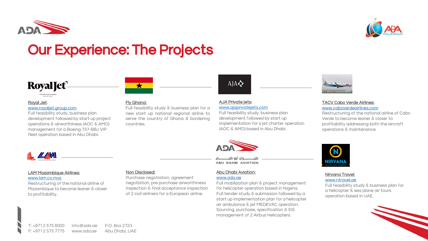



## Our Experience: The Projects



#### **Royal Jet**:

#### [www.royaljet.group.com](http://www.royaljet.group.com/)

Full feasibility study, business plan development followed by start up project operations & airworthiness (AOC & AMO) management for a Boeing 737-BBJ VIP fleet operation based in Abu Dhabi.



#### **Fly Ghana:**

Full feasibility study & business plan for a new start up national regional airline to serve the country of Ghana & bordering countries.

#### **AJA Private jets:**  [www.ajaprivatejets.com](http://www.ajaprivatejets.com/)

Full feasibility study, business plan development followed by start up implementation for a jet charter operation (AOC & AMO) based in Abu Dhabi.



#### **TACV Cabo Verde Airlines:**  [www.caboverdeairlines.com](http://www.caboverdeairlines.com/)

Restructuring of the national airline of Cabo Verde to become leaner & closer to profitability addressing both the aircraft operations & maintenance



#### **LAM Mozambique Airlines:**  [www.lam.co.moz](http://www.lam.co.moz/)

Restructuring of the national airline of Mozambique to become leaner & closer to profitability.

#### **Non Disclosed:**

Purchase negotiation, agreement negotiation, pre purchase airworthiness inspection & final acceptance inspection of 2 civil airliners for a European airline.

#### **Abu Dhabi Aviation:**

ــران أبو ظبـــ **ABU DHABI AVIATION** 

#### [www.ada.ae](http://www.ada.ae/)

Full mobilization plan & project management for helicopter operation based in Nigeria. Full tender study & submission followed by a start up implementation plan for a helicopter air ambulance & jet MEDEVAC operation. Sourcing, purchase, specification & EiS management of 2 Airbus Helicopters.



### **Nirvana Travel:**

[www.ntravel.ae](http://www.ntravel.ae/)

Full feasibility study & business plan for a helicopter & sea plane air tours operation based in UAE.

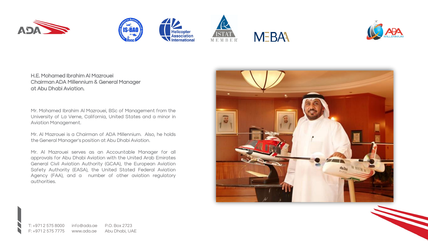





Helicopter<br>Association

International





**H.E. Mohamed Ibrahim Al Mazrouei Chairman ADA Millennium & General Manager at Abu Dhabi Aviation.**

Mr. Mohamed Ibrahim Al Mazrouei, BSc of Management from the University of La Verne, California, United States and a minor in Aviation Management.

Mr. Al Mazrouei is a Chairman of ADA Millennium. Also, he holds the General Manager's position at Abu Dhabi Aviation.

Mr. Al Mazrouei serves as an Accountable Manager for all approvals for Abu Dhabi Aviation with the United Arab Emirates General Civil Aviation Authority (GCAA), the European Aviation Safety Authority (EASA), the United Stated Federal Aviation Agency (FAA), and a number of other aviation regulatory authorities.

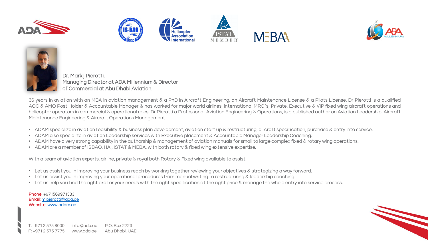









**Dr. Mark j Pierotti. Managing Director at ADA Millennium & Director of Commercial at Abu Dhabi Aviation.**

36 years in aviation with an MBA in aviation management & a PhD in Aircraft Engineering, an Aircraft Maintenance License & a Pilots License. Dr Pierotti is a qualified AOC & AMO Post Holder & Accountable Manager & has worked for major world airlines, international MRO`s, Private, Executive & VIP fixed wing aircraft operations and helicopter operators in commercial & operational roles. Dr Pierotti a Professor of Aviation Engineering & Operations, is a published author on Aviation Leadership, Aircraft Maintenance Engineering & Aircraft Operations Management.

- ADAM specialize in aviation feasibility & business plan development, aviation start up & restructuring, aircraft specification, purchase & entry into service.
- ADAM also specialize in aviation Leadership services with Executive placement & Accountable Manager Leadership Coaching.
- ADAM have a very strong capability in the authorship & management of aviation manuals for small to large complex fixed & rotary wing operations.
- ADAM are a member of ISBAO, HAI, ISTAT & MEBA, with both rotary & fixed wing extensive expertise.

With a team of aviation experts, airline, private & royal both Rotary & Fixed wing available to assist.

- Let us assist you in improving your business reach by working together reviewing your objectives & strategizing a way forward.
- Let us assist you in improving your operational procedures from manual writing to restructuring & leadership coaching.
- Let us help you find the right a/c for your needs with the right specification at the right price & manage the whole entry into service process.

**Phone:** +971569971383 **Email:** [m.pierotti@ada.ae](mailto:m.pierotti@ada.ae) **Website:** [www.adam.ae](http://www.adam.ae/)

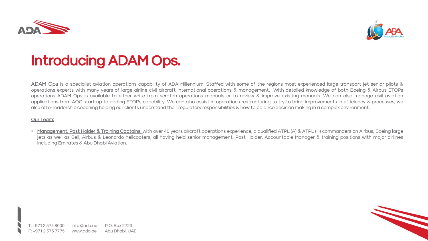



# Introducing ADAM Ops.

**ADAM Ops** is a specialist aviation operations capability of ADA Millennium. Staffed with some of the regions most experienced large transport jet senior pilots & operations experts with many years of large airline civil aircraft international operations & management. With detailed knowledge of both Boeing & Airbus ETOPs operations ADAM Ops is available to either write from scratch operations manuals or to review & improve existing manuals. We can also manage civil aviation applications from AOC start up to adding ETOPs capability. We can also assist in operations restructuring to try to bring improvements in efficiency & processes, we also offer leadership coaching helping our clients understand their regulatory responsibilities & how to balance decision making in a complex environment.

#### **Our Team:**

• **Management, Post Holder & Training Captains:** with over 40 years aircraft operations experience, a qualified ATPL (A) & ATPL (H) commanders on Airbus, Boeing large jets as well as Bell, Airbus & Leonardo helicopters, all having held senior management, Post Holder, Accountable Manager & training positions with major airlines including Emirates & Abu Dhabi Aviation.

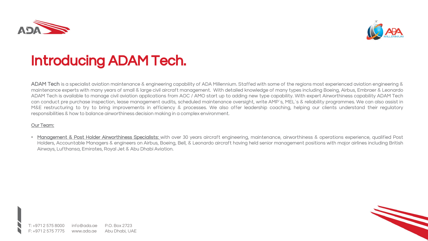



# Introducing ADAM Tech.

**ADAM Tech** is a specialist aviation maintenance & engineering capability of ADA Millennium. Staffed with some of the regions most experienced aviation engineering & maintenance experts with many years of small & large civil aircraft management. With detailed knowledge of many types including Boeing, Airbus, Embraer & Leonardo ADAM Tech is available to manage civil aviation applications from AOC / AMO start up to adding new type capability. With expert Airworthiness capability ADAM Tech can conduct pre purchase inspection, lease management audits, scheduled maintenance oversight, write AMP`s, MEL`s & reliability programmes. We can also assist in M&E restructuring to try to bring improvements in efficiency & processes. We also offer leadership coaching, helping our clients understand their regulatory responsibilities & how to balance airworthiness decision making in a complex environment.

#### **Our Team:**

• **Management & Post Holder Airworthiness Specialists:** with over 30 years aircraft engineering, maintenance, airworthiness & operations experience, qualified Post Holders, Accountable Managers & engineers on Airbus, Boeing, Bell, & Leonardo aircraft having held senior management positions with major airlines including British Airways, Lufthansa, Emirates, Royal Jet & Abu Dhabi Aviation.